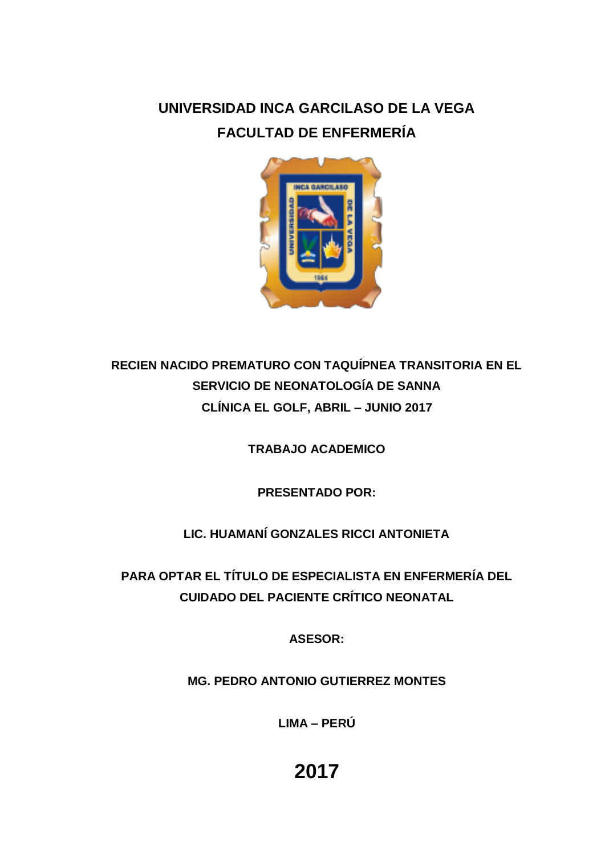## **UNIVERSIDAD INCA GARCILASO DE LA VEGA FACULTAD DE ENFERMERÍA**



## **RECIEN NACIDO PREMATURO CON TAQUÍPNEA TRANSITORIA EN EL SERVICIO DE NEONATOLOGÍA DE SANNA CLÍNICA EL GOLF, ABRIL – JUNIO 2017**

**TRABAJO ACADEMICO**

**PRESENTADO POR:**

### **LIC. HUAMANÍ GONZALES RICCI ANTONIETA**

**PARA OPTAR EL TÍTULO DE ESPECIALISTA EN ENFERMERÍA DEL CUIDADO DEL PACIENTE CRÍTICO NEONATAL**

**ASESOR:**

**MG. PEDRO ANTONIO GUTIERREZ MONTES** 

**LIMA – PERÚ**

# **2017**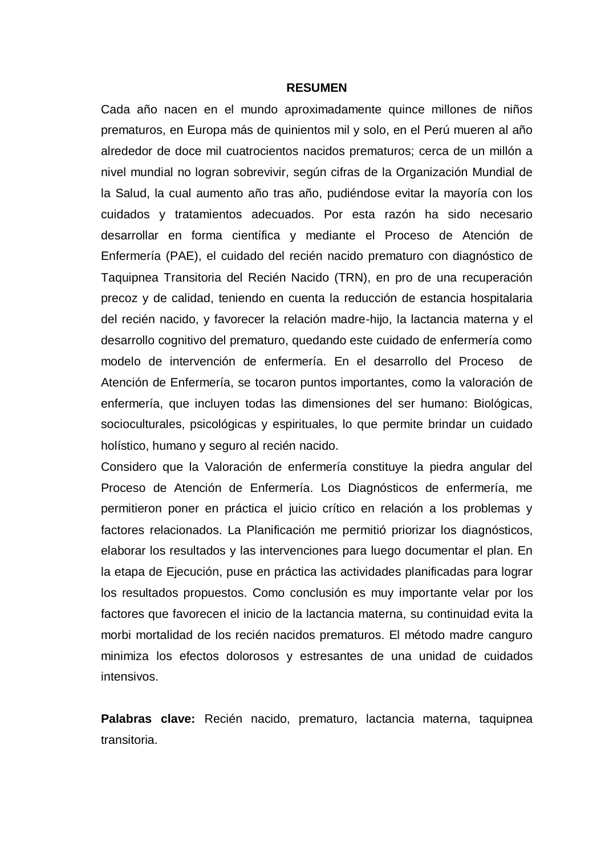#### **RESUMEN**

Cada año nacen en el mundo aproximadamente quince millones de niños prematuros, en Europa más de quinientos mil y solo, en el Perú mueren al año alrededor de doce mil cuatrocientos nacidos prematuros; cerca de un millón a nivel mundial no logran sobrevivir, según cifras de la Organización Mundial de la Salud, la cual aumento año tras año, pudiéndose evitar la mayoría con los cuidados y tratamientos adecuados. Por esta razón ha sido necesario desarrollar en forma científica y mediante el Proceso de Atención de Enfermería (PAE), el cuidado del recién nacido prematuro con diagnóstico de Taquipnea Transitoria del Recién Nacido (TRN), en pro de una recuperación precoz y de calidad, teniendo en cuenta la reducción de estancia hospitalaria del recién nacido, y favorecer la relación madre-hijo, la lactancia materna y el desarrollo cognitivo del prematuro, quedando este cuidado de enfermería como modelo de intervención de enfermería. En el desarrollo del Proceso de Atención de Enfermería, se tocaron puntos importantes, como la valoración de enfermería, que incluyen todas las dimensiones del ser humano: Biológicas, socioculturales, psicológicas y espirituales, lo que permite brindar un cuidado holístico, humano y seguro al recién nacido.

Considero que la Valoración de enfermería constituye la piedra angular del Proceso de Atención de Enfermería. Los Diagnósticos de enfermería, me permitieron poner en práctica el juicio crítico en relación a los problemas y factores relacionados. La Planificación me permitió priorizar los diagnósticos, elaborar los resultados y las intervenciones para luego documentar el plan. En la etapa de Ejecución, puse en práctica las actividades planificadas para lograr los resultados propuestos. Como conclusión es muy importante velar por los factores que favorecen el inicio de la lactancia materna, su continuidad evita la morbi mortalidad de los recién nacidos prematuros. El método madre canguro minimiza los efectos dolorosos y estresantes de una unidad de cuidados intensivos.

**Palabras clave:** Recién nacido, prematuro, lactancia materna, taquipnea transitoria.